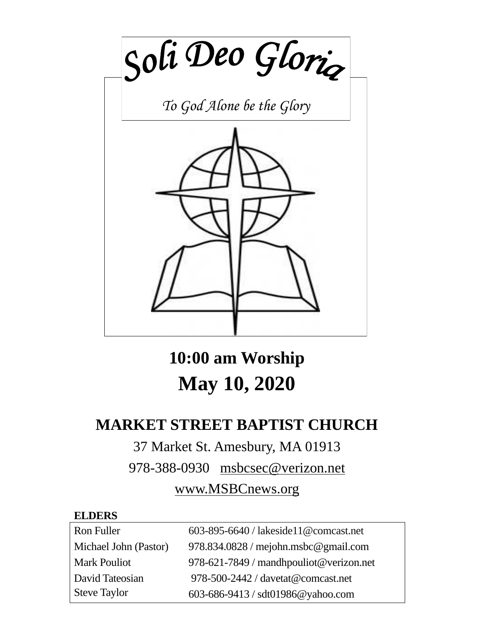

**10:00 am Worship May 10, 2020**

# **MARKET STREET BAPTIST CHURCH**

# 37 Market St. Amesbury, MA 01913

978-388-0930 [msbcsec@verizon.net](mailto:msgbcsec@verizon.net)

# [www.MSBCnews.org](http://www.msbcnews.org/)

## **ELDERS**

| Ron Fuller            | 603-895-6640 / lakeside11@comcast.net   |
|-----------------------|-----------------------------------------|
| Michael John (Pastor) | $978.834.0828$ / mejohn.msbc@gmail.com  |
| <b>Mark Pouliot</b>   | 978-621-7849 / mandhpouliot@verizon.net |
| David Tateosian       | 978-500-2442 / davetat@comcast.net      |
| Steve Taylor          | 603-686-9413 / sdt01986@yahoo.com       |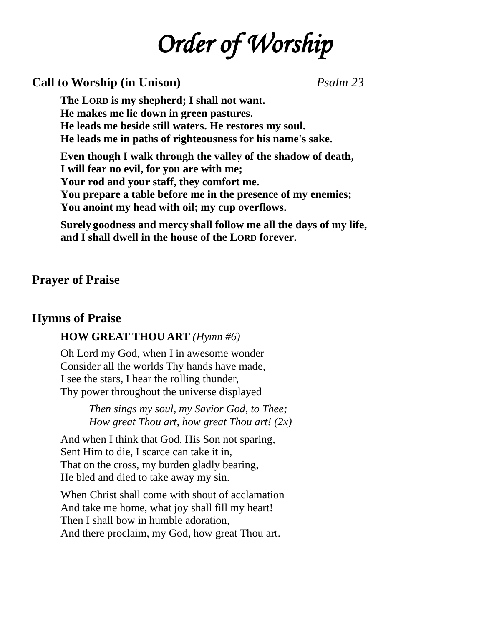*Order of Worship* 

**Call to Worship (in Unison)** *Psalm 23*

**The LORD is my shepherd; I shall not want. He makes me lie down in green pastures. He leads me beside still waters. He restores my soul. He leads me in paths of righteousness for his name's sake.**

**Even though I walk through the valley of the shadow of death, I will fear no evil, for you are with me; Your rod and your staff, they comfort me. You prepare a table before me in the presence of my enemies; You anoint my head with oil; my cup overflows.**

**Surely goodness and mercy shall follow me all the days of my life, and I shall dwell in the house of the LORD forever.**

## **Prayer of Praise**

## **Hymns of Praise**

### **HOW GREAT THOU ART** *(Hymn #6)*

Oh Lord my God, when I in awesome wonder Consider all the worlds Thy hands have made, I see the stars, I hear the rolling thunder, Thy power throughout the universe displayed

> *Then sings my soul, my Savior God, to Thee; How great Thou art, how great Thou art! (2x)*

And when I think that God, His Son not sparing, Sent Him to die, I scarce can take it in, That on the cross, my burden gladly bearing, He bled and died to take away my sin.

When Christ shall come with shout of acclamation And take me home, what joy shall fill my heart! Then I shall bow in humble adoration, And there proclaim, my God, how great Thou art.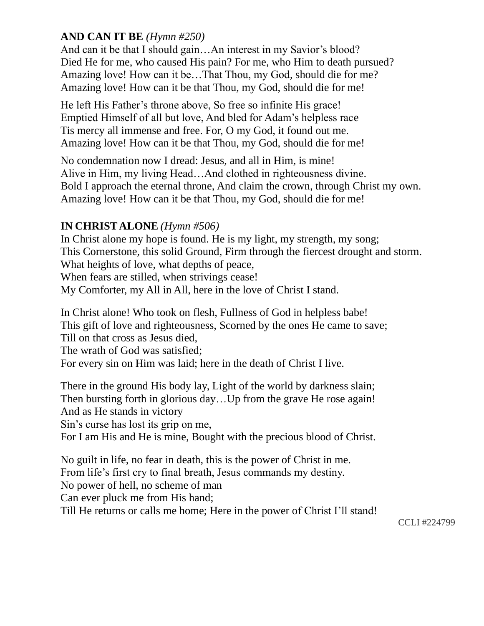## **AND CAN IT BE** *(Hymn #250)*

And can it be that I should gain…An interest in my Savior's blood? Died He for me, who caused His pain? For me, who Him to death pursued? Amazing love! How can it be…That Thou, my God, should die for me? Amazing love! How can it be that Thou, my God, should die for me!

He left His Father's throne above, So free so infinite His grace! Emptied Himself of all but love, And bled for Adam's helpless race Tis mercy all immense and free. For, O my God, it found out me. Amazing love! How can it be that Thou, my God, should die for me!

No condemnation now I dread: Jesus, and all in Him, is mine! Alive in Him, my living Head…And clothed in righteousness divine. Bold I approach the eternal throne, And claim the crown, through Christ my own. Amazing love! How can it be that Thou, my God, should die for me!

## **IN CHRISTALONE** *(Hymn #506)*

In Christ alone my hope is found. He is my light, my strength, my song; This Cornerstone, this solid Ground, Firm through the fiercest drought and storm. What heights of love, what depths of peace, When fears are stilled, when strivings cease! My Comforter, my All in All, here in the love of Christ I stand.

In Christ alone! Who took on flesh, Fullness of God in helpless babe! This gift of love and righteousness, Scorned by the ones He came to save; Till on that cross as Jesus died,

The wrath of God was satisfied;

For every sin on Him was laid; here in the death of Christ I live.

There in the ground His body lay, Light of the world by darkness slain; Then bursting forth in glorious day…Up from the grave He rose again! And as He stands in victory

Sin's curse has lost its grip on me,

For I am His and He is mine, Bought with the precious blood of Christ.

No guilt in life, no fear in death, this is the power of Christ in me. From life's first cry to final breath, Jesus commands my destiny. No power of hell, no scheme of man Can ever pluck me from His hand; Till He returns or calls me home; Here in the power of Christ I'll stand!

CCLI #224799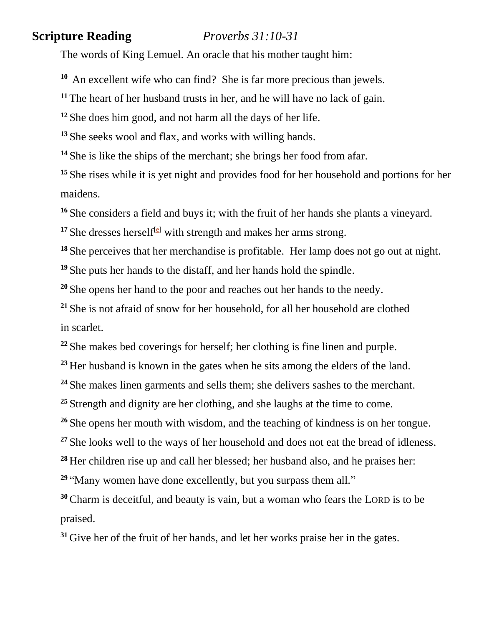## **Scripture Reading** *Proverbs 31:10-31*

The words of King Lemuel. An oracle that his mother taught him:

An excellent wife who can find? She is far more precious than jewels.

The heart of her husband trusts in her, and he will have no lack of gain.

She does him good, and not harm all the days of her life.

She seeks wool and flax, and works with willing hands.

She is like the ships of the merchant; she brings her food from afar.

 She rises while it is yet night and provides food for her household and portions for her maidens.

She considers a field and buys it; with the fruit of her hands she plants a vineyard.

<sup>17</sup> She dresses herself<sup>[\[e\]](https://www.biblegateway.com/passage/?search=proverbs+31&version=ESV#fen-ESV-17302e)</sup> with strength and makes her arms strong.

She perceives that her merchandise is profitable. Her lamp does not go out at night.

She puts her hands to the distaff, and her hands hold the spindle.

She opens her hand to the poor and reaches out her hands to the needy.

 She is not afraid of snow for her household, for all her household are clothed in scarlet.

She makes bed coverings for herself; her clothing is fine linen and purple.

Her husband is known in the gates when he sits among the elders of the land.

She makes linen garments and sells them; she delivers sashes to the merchant.

<sup>25</sup> Strength and dignity are her clothing, and she laughs at the time to come.

She opens her mouth with wisdom, and the teaching of kindness is on her tongue.

<sup>27</sup> She looks well to the ways of her household and does not eat the bread of idleness.

Her children rise up and call her blessed; her husband also, and he praises her:

"Many women have done excellently, but you surpass them all."

Charm is deceitful, and beauty is vain, but a woman who fears the LORD is to be praised.

Give her of the fruit of her hands, and let her works praise her in the gates.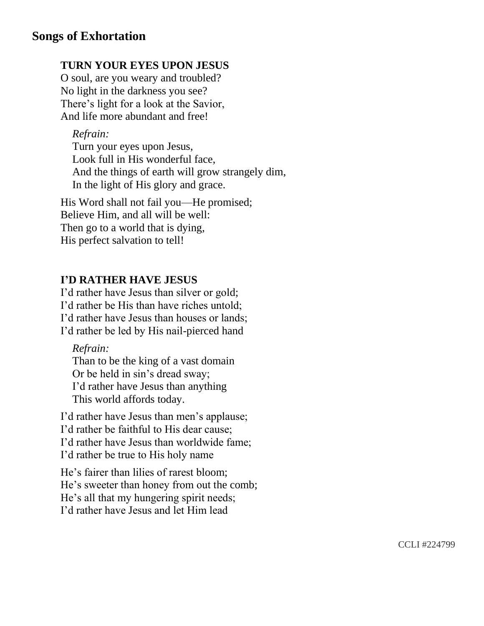## **Songs of Exhortation**

### **TURN YOUR EYES UPON JESUS**

O soul, are you weary and troubled? No light in the darkness you see? There's light for a look at the Savior, And life more abundant and free!

### *Refrain:*

Turn your eyes upon Jesus, Look full in His wonderful face, And the things of earth will grow strangely dim, In the light of His glory and grace.

His Word shall not fail you—He promised; Believe Him, and all will be well: Then go to a world that is dying, His perfect salvation to tell!

## **I'D RATHER HAVE JESUS**

I'd rather have Jesus than silver or gold; I'd rather be His than have riches untold; I'd rather have Jesus than houses or lands; I'd rather be led by His nail-pierced hand

### *Refrain:*

Than to be the king of a vast domain Or be held in sin's dread sway; I'd rather have Jesus than anything This world affords today.

I'd rather have Jesus than men's applause; I'd rather be faithful to His dear cause; I'd rather have Jesus than worldwide fame; I'd rather be true to His holy name

He's fairer than lilies of rarest bloom; He's sweeter than honey from out the comb; He's all that my hungering spirit needs; I'd rather have Jesus and let Him lead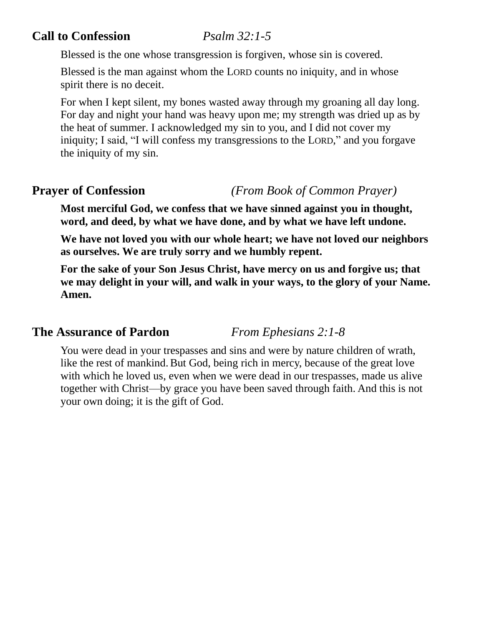## **Call to Confession** *Psalm 32:1-5*

Blessed is the one whose transgression is forgiven, whose sin is covered.

Blessed is the man against whom the LORD counts no iniquity, and in whose spirit there is no deceit.

For when I kept silent, my bones wasted away through my groaning all day long. For day and night your hand was heavy upon me; my strength was dried up as by the heat of summer. I acknowledged my sin to you, and I did not cover my iniquity; I said, "I will confess my transgressions to the LORD," and you forgave the iniquity of my sin.

## **Prayer of Confession** *(From Book of Common Prayer)*

**Most merciful God, we confess that we have sinned against you in thought, word, and deed, by what we have done, and by what we have left undone.**

**We have not loved you with our whole heart; we have not loved our neighbors as ourselves. We are truly sorry and we humbly repent.**

**For the sake of your Son Jesus Christ, have mercy on us and forgive us; that we may delight in your will, and walk in your ways, to the glory of your Name. Amen.**

## **The Assurance of Pardon** *From Ephesians 2:1-8*

You were dead in your trespasses and sins and were by nature children of wrath, like the rest of mankind.But God, being rich in mercy, because of the great love with which he loved us, even when we were dead in our trespasses, made us alive together with Christ—by grace you have been saved through faith. And this is not your own doing; it is the gift of God.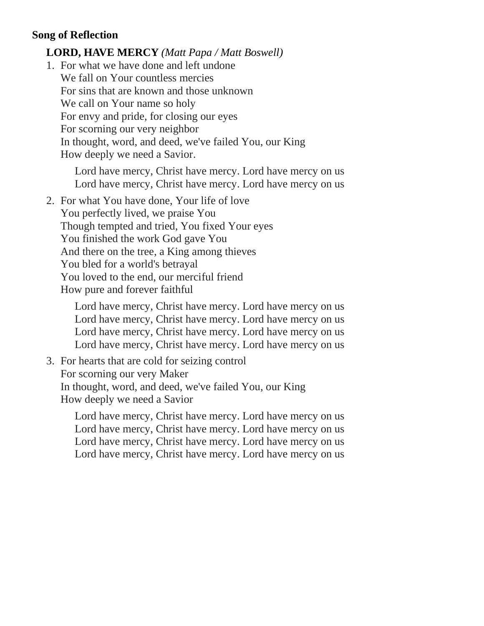### **Song of Reflection**

### **LORD, HAVE MERCY** *(Matt Papa / Matt Boswell)*

1. For what we have done and left undone We fall on Your countless mercies For sins that are known and those unknown We call on Your name so holy For envy and pride, for closing our eyes For scorning our very neighbor In thought, word, and deed, we've failed You, our King How deeply we need a Savior.

Lord have mercy, Christ have mercy. Lord have mercy on us Lord have mercy, Christ have mercy. Lord have mercy on us

2. For what You have done, Your life of love

You perfectly lived, we praise You Though tempted and tried, You fixed Your eyes You finished the work God gave You And there on the tree, a King among thieves You bled for a world's betrayal You loved to the end, our merciful friend How pure and forever faithful

Lord have mercy, Christ have mercy. Lord have mercy on us Lord have mercy, Christ have mercy. Lord have mercy on us Lord have mercy, Christ have mercy. Lord have mercy on us Lord have mercy, Christ have mercy. Lord have mercy on us

3. For hearts that are cold for seizing control For scorning our very Maker In thought, word, and deed, we've failed You, our King How deeply we need a Savior

> Lord have mercy, Christ have mercy. Lord have mercy on us Lord have mercy, Christ have mercy. Lord have mercy on us Lord have mercy, Christ have mercy. Lord have mercy on us Lord have mercy, Christ have mercy. Lord have mercy on us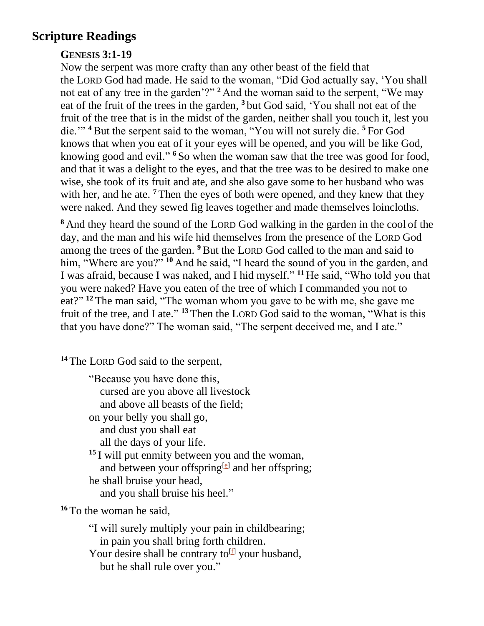## **Scripture Readings**

## **GENESIS 3:1-19**

Now the serpent was more crafty than any other beast of the field that the LORD God had made. He said to the woman, "Did God actually say, 'You shall not eat of any tree in the garden'?" **<sup>2</sup>** And the woman said to the serpent, "We may eat of the fruit of the trees in the garden, **<sup>3</sup>** but God said, 'You shall not eat of the fruit of the tree that is in the midst of the garden, neither shall you touch it, lest you die.'" **<sup>4</sup>**But the serpent said to the woman, "You will not surely die. **<sup>5</sup>** For God knows that when you eat of it your eyes will be opened, and you will be like God, knowing good and evil." <sup>6</sup> So when the woman saw that the tree was good for food, and that it was a delight to the eyes, and that the tree was to be desired to make one wise, she took of its fruit and ate, and she also gave some to her husband who was with her, and he ate.<sup>7</sup> Then the eyes of both were opened, and they knew that they were naked. And they sewed fig leaves together and made themselves loincloths.

**<sup>8</sup>** And they heard the sound of the LORD God walking in the garden in the cool of the day, and the man and his wife hid themselves from the presence of the LORD God among the trees of the garden. **<sup>9</sup>**But the LORD God called to the man and said to him, "Where are you?" **<sup>10</sup>** And he said, "I heard the sound of you in the garden, and I was afraid, because I was naked, and I hid myself." **<sup>11</sup>** He said, "Who told you that you were naked? Have you eaten of the tree of which I commanded you not to eat?"<sup>12</sup> The man said, "The woman whom you gave to be with me, she gave me fruit of the tree, and I ate." <sup>13</sup> Then the LORD God said to the woman, "What is this that you have done?" The woman said, "The serpent deceived me, and I ate."

**<sup>14</sup>** The LORD God said to the serpent,

"Because you have done this, cursed are you above all livestock and above all beasts of the field; on your belly you shall go, and dust you shall eat all the days of your life. **<sup>15</sup>** I will put enmity between you and the woman, and between your offspring<sup>[\[e\]](https://www.biblegateway.com/passage/?search=Genesis+3&version=ESV#fen-ESV-71e)</sup> and her offspring; he shall bruise your head, and you shall bruise his heel." **<sup>16</sup>** To the woman he said, "I will surely multiply your pain in childbearing; in pain you shall bring forth children.

Your desire shall be contrary to<sup>[\[f\]](https://www.biblegateway.com/passage/?search=Genesis+3&version=ESV#fen-ESV-72f)</sup> your husband, but he shall rule over you."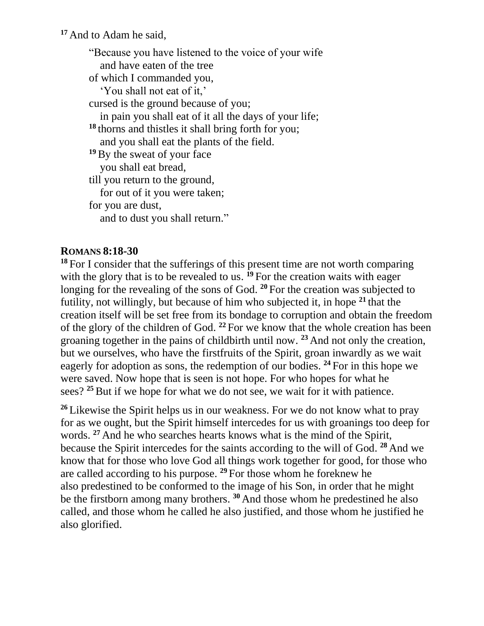**<sup>17</sup>** And to Adam he said,

"Because you have listened to the voice of your wife and have eaten of the tree of which I commanded you, 'You shall not eat of it,' cursed is the ground because of you; in pain you shall eat of it all the days of your life; **<sup>18</sup>** thorns and thistles it shall bring forth for you; and you shall eat the plants of the field. **<sup>19</sup>**By the sweat of your face you shall eat bread, till you return to the ground, for out of it you were taken; for you are dust, and to dust you shall return."

## **ROMANS 8:18-30**

**<sup>18</sup>** For I consider that the sufferings of this present time are not worth comparing with the glory that is to be revealed to us. <sup>19</sup> For the creation waits with eager longing for the revealing of the sons of God. <sup>20</sup> For the creation was subjected to futility, not willingly, but because of him who subjected it, in hope **<sup>21</sup>** that the creation itself will be set free from its bondage to corruption and obtain the freedom of the glory of the children of God. **<sup>22</sup>** For we know that the whole creation has been groaning together in the pains of childbirth until now. **<sup>23</sup>** And not only the creation, but we ourselves, who have the firstfruits of the Spirit, groan inwardly as we wait eagerly for adoption as sons, the redemption of our bodies. **<sup>24</sup>** For in this hope we were saved. Now hope that is seen is not hope. For who hopes for what he sees? **<sup>25</sup>**But if we hope for what we do not see, we wait for it with patience.

**<sup>26</sup>** Likewise the Spirit helps us in our weakness. For we do not know what to pray for as we ought, but the Spirit himself intercedes for us with groanings too deep for words. **<sup>27</sup>** And he who searches hearts knows what is the mind of the Spirit, because the Spirit intercedes for the saints according to the will of God. **<sup>28</sup>** And we know that for those who love God all things work together for good, for those who are called according to his purpose. **<sup>29</sup>** For those whom he foreknew he also predestined to be conformed to the image of his Son, in order that he might be the firstborn among many brothers. **<sup>30</sup>** And those whom he predestined he also called, and those whom he called he also justified, and those whom he justified he also glorified.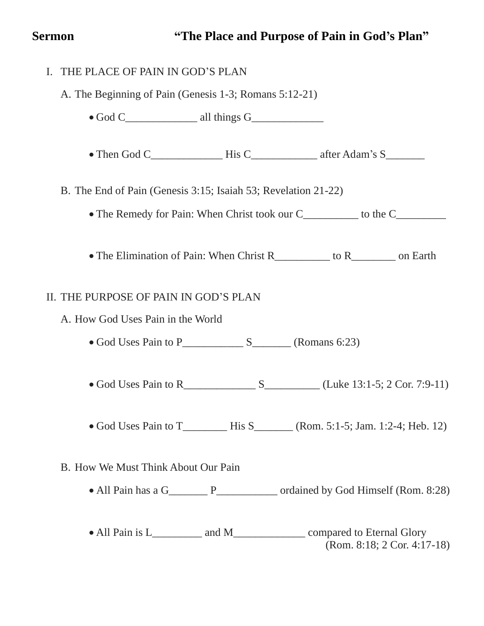| THE PLACE OF PAIN IN GOD'S PLAN                                                                                 |
|-----------------------------------------------------------------------------------------------------------------|
| A. The Beginning of Pain (Genesis 1-3; Romans 5:12-21)                                                          |
|                                                                                                                 |
|                                                                                                                 |
| B. The End of Pain (Genesis 3:15; Isaiah 53; Revelation 21-22)                                                  |
| • The Remedy for Pain: When Christ took our C_________ to the C_________                                        |
| • The Elimination of Pain: When Christ R___________ to R__________ on Earth                                     |
| II. THE PURPOSE OF PAIN IN GOD'S PLAN                                                                           |
| A. How God Uses Pain in the World                                                                               |
|                                                                                                                 |
|                                                                                                                 |
|                                                                                                                 |
| B. How We Must Think About Our Pain                                                                             |
|                                                                                                                 |
| • All Pain is L____________ and M_____________________ compared to Eternal Glory<br>(Rom. 8:18; 2 Cor. 4:17-18) |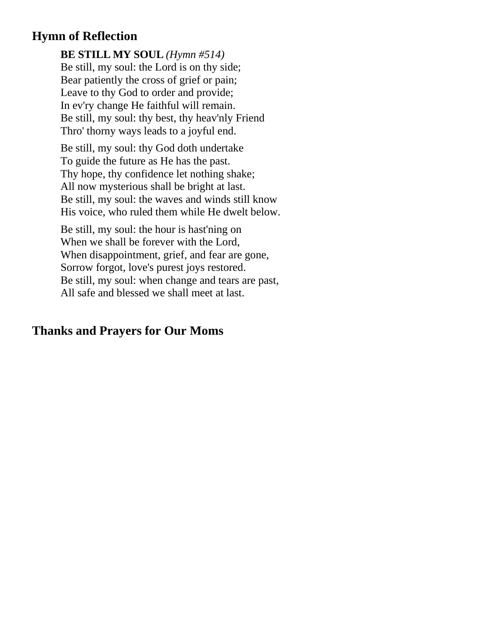## **Hymn of Reflection**

**BE STILL MY SOUL** *(Hymn #514)* Be still, my soul: the Lord is on thy side; Bear patiently the cross of grief or pain; Leave to thy God to order and provide; In ev'ry change He faithful will remain. Be still, my soul: thy best, thy heav'nly Friend Thro' thorny ways leads to a joyful end.

Be still, my soul: thy God doth undertake To guide the future as He has the past. Thy hope, thy confidence let nothing shake; All now mysterious shall be bright at last. Be still, my soul: the waves and winds still know His voice, who ruled them while He dwelt below.

Be still, my soul: the hour is hast'ning on When we shall be forever with the Lord, When disappointment, grief, and fear are gone, Sorrow forgot, love's purest joys restored. Be still, my soul: when change and tears are past, All safe and blessed we shall meet at last.

## **Thanks and Prayers for Our Moms**